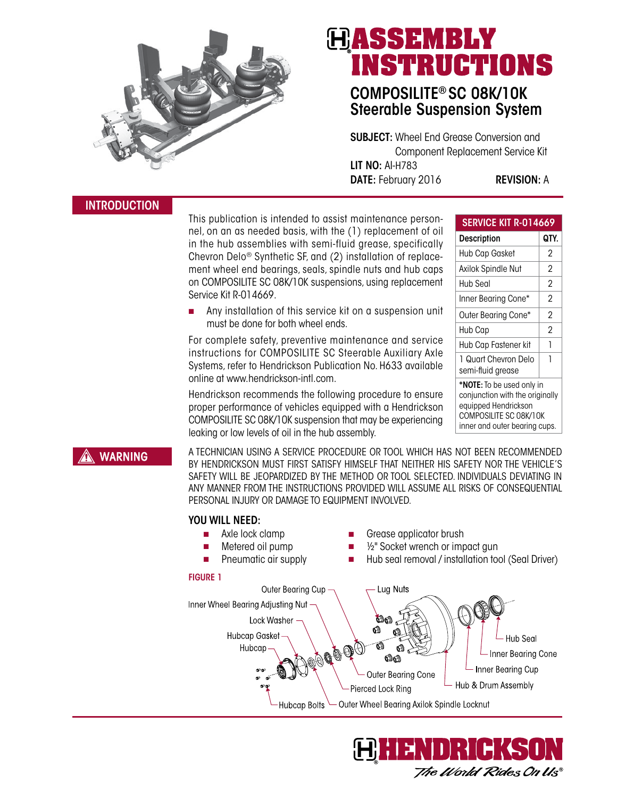

# HASSEMBLY **INSTRUCTIONS**

# COMPOSILITE® SC 08K/10K Steerable Suspension System

SUBJECT: Wheel End Grease Conversion and Component Replacement Service Kit LIT NO: AI-H783 DATE: February 2016 REVISION: A

This publication is intended to assist maintenance personnel, on an as needed basis, with the (1) replacement of oil in the hub assemblies with semi-fluid grease, specifically Chevron Delo® Synthetic SF, and (2) installation of replacement wheel end bearings, seals, spindle nuts and hub caps on COMPOSILITE SC 08K/10K suspensions, using replacement Service Kit R-014669.

Any installation of this service kit on a suspension unit must be done for both wheel ends.

For complete safety, preventive maintenance and service instructions for COMPOSILITE SC Steerable Auxiliary Axle Systems, refer to Hendrickson Publication No. H633 available online at www.hendrickson-intl.com.

Hendrickson recommends the following procedure to ensure proper performance of vehicles equipped with a Hendrickson COMPOSILITE SC 08K/10K suspension that may be experiencing leaking or low levels of oil in the hub assembly.

| <b>SERVICE KIT R-014669</b>                                  |      |
|--------------------------------------------------------------|------|
| <b>Description</b>                                           | QTY. |
| Hub Cap Gasket                                               | 2    |
| Axilok Spindle Nut                                           | 2    |
| Hub Seal                                                     | 2    |
| Inner Bearing Cone*                                          | 2    |
| Outer Bearing Cone*                                          | 2    |
| Hub Cap                                                      | 2    |
| Hub Cap Fastener kit                                         | 1    |
| 1 Quart Chevron Delo<br>semi-fluid grease                    | 1    |
| *NOTE: To be used only in<br>conjunction with the originally |      |

equipped Hendrickson COMPOSILITE SC 08K/10K inner and outer bearing cups.

# **WARNING**

A TECHNICIAN USING A SERVICE PROCEDURE OR TOOL WHICH HAS NOT BEEN RECOMMENDED BY HENDRICKSON MUST FIRST SATISFY HIMSELF THAT NEITHER HIS SAFETY NOR THE VEHICLE'S SAFETY WILL BE JEOPARDIZED BY THE METHOD OR TOOL SELECTED. INDIVIDUALS DEVIATING IN ANY MANNER FROM THE INSTRUCTIONS PROVIDED WILL ASSUME ALL RISKS OF CONSEQUENTIAL PERSONAL INJURY OR DAMAGE TO EQUIPMENT INVOLVED.

# YOU WILL NEED:

- Axle lock clamp
- Metered oil pump
- Grease applicator brush
- <sup>1/2</sup> Socket wrench or impact gun
- Pneumatic air supply
- Hub seal removal / installation tool (Seal Driver)

### FIGURE 1 Outer Bearing Cup Lug Nuts Inner Wheel Bearing Adjusting Nut Lock Washer ଈ **Hubcap Gasket Hub Seal** DRO COD Hubcap Inner Bearing Cone രീക് Inner Bearing Cup Outer Bearing Cone Hub & Drum Assembly Pierced Lock Ring Outer Wheel Bearing Axilok Spindle Locknut **Hubcap Bolts**



# INTRODUCTION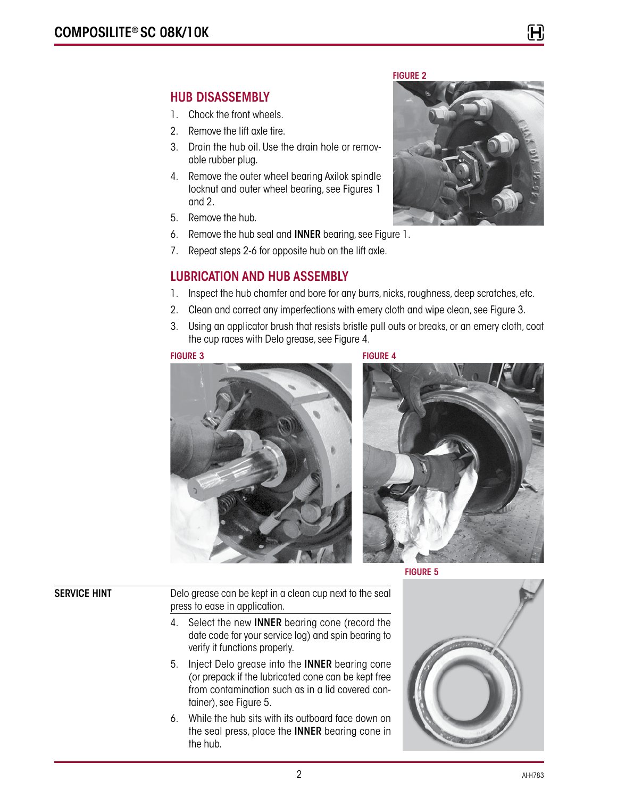# HUB DISASSEMBLY

- 1. Chock the front wheels.
- 2. Remove the lift axle tire.
- 3. Drain the hub oil. Use the drain hole or removable rubber plug.
- 4. Remove the outer wheel bearing Axilok spindle locknut and outer wheel bearing, see Figures 1 and 2.
- 5. Remove the hub.
- 6. Remove the hub seal and INNER bearing, see Figure 1.
- 7. Repeat steps 2-6 for opposite hub on the lift axle.

# LUBRICATION AND HUB ASSEMBLY

- 1. Inspect the hub chamfer and bore for any burrs, nicks, roughness, deep scratches, etc.
- 2. Clean and correct any imperfections with emery cloth and wipe clean, see Figure 3.
- 3. Using an applicator brush that resists bristle pull outs or breaks, or an emery cloth, coat the cup races with Delo grease, see Figure 4.

### FIGURE 3 FIGURE 4





FIGURE 5

SERVICE HINT Delo grease can be kept in a clean cup next to the seal press to ease in application.

- 4. Select the new INNER bearing cone (record the date code for your service log) and spin bearing to verify it functions properly.
- 5. Inject Delo grease into the INNER bearing cone (or prepack if the lubricated cone can be kept free from contamination such as in a lid covered container), see Figure 5.
- 6. While the hub sits with its outboard face down on the seal press, place the INNER bearing cone in the hub.



## FIGURE 2



H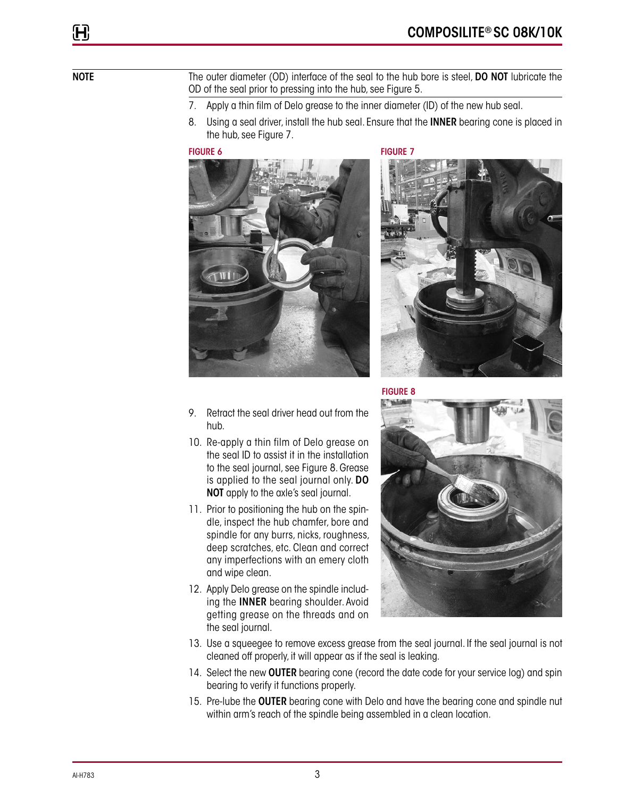H

NOTE The outer diameter (OD) interface of the seal to the hub bore is steel, DO NOT lubricate the OD of the seal prior to pressing into the hub, see Figure 5.

- 7. Apply a thin film of Delo grease to the inner diameter (ID) of the new hub seal.
- 8. Using a seal driver, install the hub seal. Ensure that the **INNER** bearing cone is placed in the hub, see Figure 7.

FIGURE 6 FIGURE 7





- 9. Retract the seal driver head out from the hub.
- 10. Re-apply a thin film of Delo grease on the seal ID to assist it in the installation to the seal journal, see Figure 8. Grease is applied to the seal journal only. DO NOT apply to the axle's seal journal.
- 11. Prior to positioning the hub on the spindle, inspect the hub chamfer, bore and spindle for any burrs, nicks, roughness, deep scratches, etc. Clean and correct any imperfections with an emery cloth and wipe clean.
- 12. Apply Delo grease on the spindle including the INNER bearing shoulder. Avoid getting grease on the threads and on the seal journal.



FIGURE 8



- 13. Use a squeegee to remove excess grease from the seal journal. If the seal journal is not cleaned off properly, it will appear as if the seal is leaking.
- 14. Select the new **OUTER** bearing cone (record the date code for your service log) and spin bearing to verify it functions properly.
- 15. Pre-lube the **OUTER** bearing cone with Delo and have the bearing cone and spindle nut within arm's reach of the spindle being assembled in a clean location.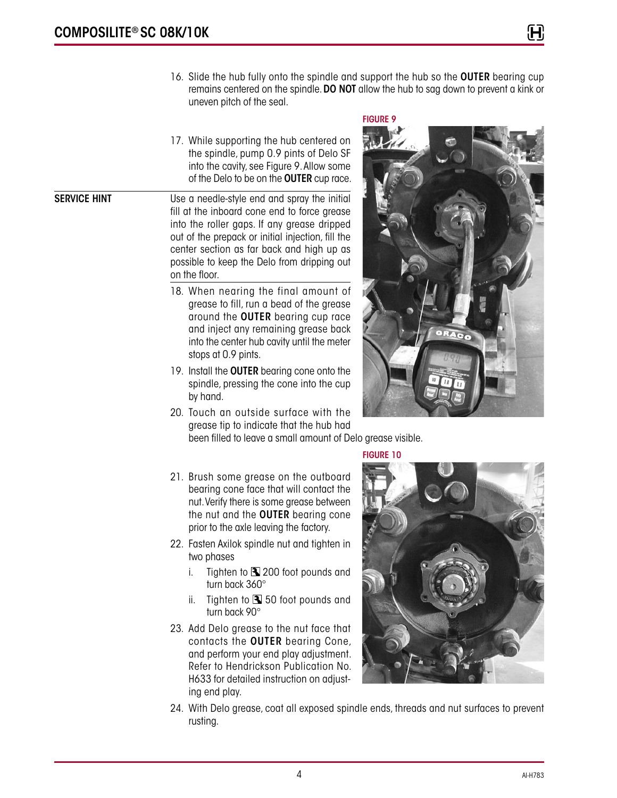FIGURE 9

17. While supporting the hub centered on the spindle, pump 0.9 pints of Delo SF into the cavity, see Figure 9. Allow some of the Delo to be on the **OUTER** cup race.

**SERVICE HINT** Use a needle-style end and spray the initial fill at the inboard cone end to force grease into the roller gaps. If any grease dripped out of the prepack or initial injection, fill the center section as far back and high up as possible to keep the Delo from dripping out on the floor.

- 18. When nearing the final amount of grease to fill, run a bead of the grease around the OUTER bearing cup race and inject any remaining grease back into the center hub cavity until the meter stops at 0.9 pints.
- 19. Install the **OUTER** bearing cone onto the spindle, pressing the cone into the cup by hand.
- 20. Touch an outside surface with the grease tip to indicate that the hub had been filled to leave a small amount of Delo grease visible.



FIGURE 10

- 21. Brush some grease on the outboard bearing cone face that will contact the nut. Verify there is some grease between the nut and the **OUTER** bearing cone prior to the axle leaving the factory.
- 22. Fasten Axilok spindle nut and tighten in two phases
	- i. Tighten to  $\blacksquare$  200 foot pounds and turn back 360°
	- ii. Tighten to  $\blacksquare$  50 foot pounds and turn back 90°
- 23. Add Delo grease to the nut face that contacts the OUTER bearing Cone, and perform your end play adjustment. Refer to Hendrickson Publication No. H633 for detailed instruction on adjusting end play.



24. With Delo grease, coat all exposed spindle ends, threads and nut surfaces to prevent rusting.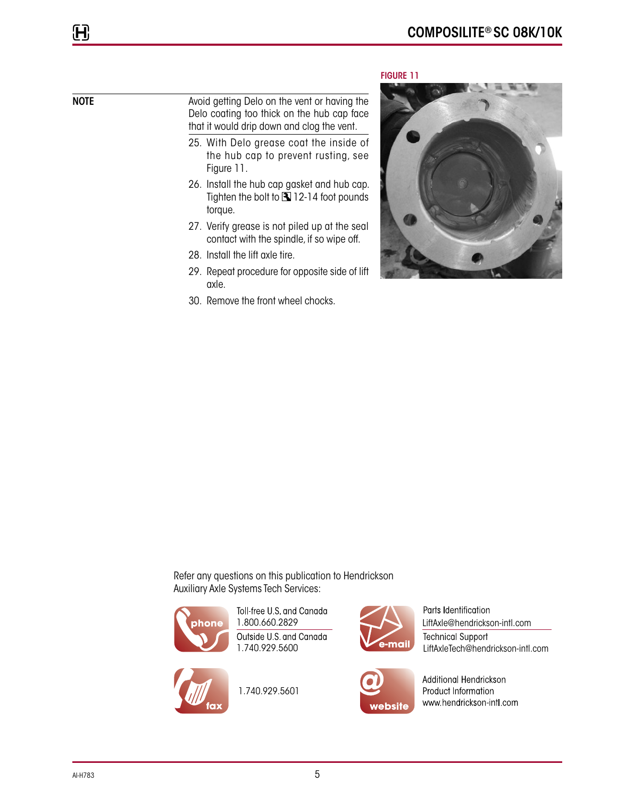# H

# NOTE Avoid getting Delo on the vent or having the Delo coating too thick on the hub cap face that it would drip down and clog the vent.

- 25. With Delo grease coat the inside of the hub cap to prevent rusting, see Figure 11.
- 26. Install the hub cap gasket and hub cap. Tighten the bolt to  $\mathbf{\overline{3}}$  12-14 foot pounds torque.
- 27. Verify grease is not piled up at the seal contact with the spindle, if so wipe off.
- 28. Install the lift axle tire.
- 29. Repeat procedure for opposite side of lift axle.
- 30. Remove the front wheel chocks.

## FIGURE 11



Refer any questions on this publication to Hendrickson Auxiliary Axle Systems Tech Services:



Toll-free U.S. and Canada Outside U.S. and Canada 1.740.929.5600



1.740.929.5601



Parts Identification 1.800.660.2829 LiftAxle@hendrickson-intl.com **Technical Support** LiftAxleTech@hendrickson-intl.com



Additional Hendrickson Product Information www.hendrickson-intl.com